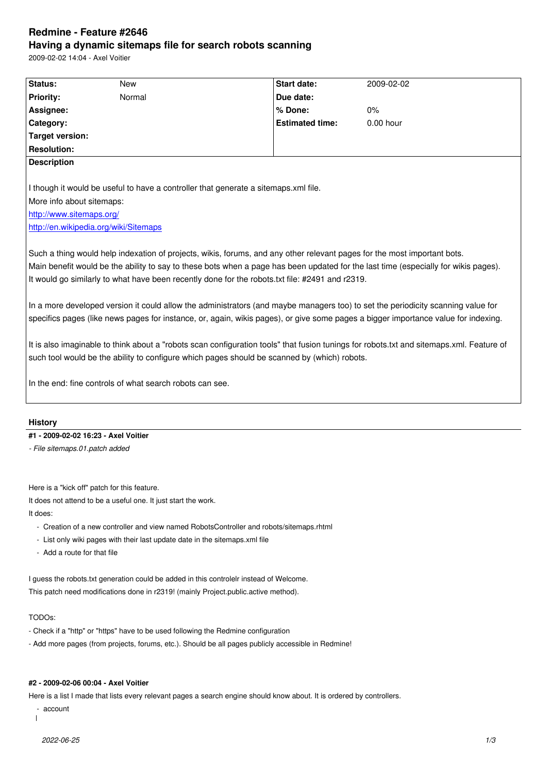#### **Having a dynamic sitemaps file for search robots scanning**

2009-02-02 14:04 - Axel Voitier

| Status:                   | <b>New</b>                                                                                                                                                                                                                                                                                                                                                         | <b>Start date:</b>     | 2009-02-02 |
|---------------------------|--------------------------------------------------------------------------------------------------------------------------------------------------------------------------------------------------------------------------------------------------------------------------------------------------------------------------------------------------------------------|------------------------|------------|
| <b>Priority:</b>          | Normal                                                                                                                                                                                                                                                                                                                                                             | Due date:              |            |
| Assignee:                 |                                                                                                                                                                                                                                                                                                                                                                    | % Done:                | $0\%$      |
| Category:                 |                                                                                                                                                                                                                                                                                                                                                                    | <b>Estimated time:</b> | 0.00 hour  |
| <b>Target version:</b>    |                                                                                                                                                                                                                                                                                                                                                                    |                        |            |
| <b>Resolution:</b>        |                                                                                                                                                                                                                                                                                                                                                                    |                        |            |
| <b>Description</b>        |                                                                                                                                                                                                                                                                                                                                                                    |                        |            |
|                           | I though it would be useful to have a controller that generate a sitemaps.xml file.                                                                                                                                                                                                                                                                                |                        |            |
| More info about sitemaps: |                                                                                                                                                                                                                                                                                                                                                                    |                        |            |
| http://www.sitemaps.org/  |                                                                                                                                                                                                                                                                                                                                                                    |                        |            |
|                           | http://en.wikipedia.org/wiki/Sitemaps                                                                                                                                                                                                                                                                                                                              |                        |            |
|                           | Such a thing would help indexation of projects, wikis, forums, and any other relevant pages for the most important bots.<br>Main benefit would be the ability to say to these bots when a page has been updated for the last time (especially for wikis pages).<br>It would go similarly to what have been recently done for the robots.txt file: #2491 and r2319. |                        |            |
|                           | In a more developed version it could allow the administrators (and maybe managers too) to set the periodicity scanning value for<br>specifics pages (like news pages for instance, or, again, wikis pages), or give some pages a bigger importance value for indexing.                                                                                             |                        |            |
|                           | It is also imaginable to think about a "robots scan configuration tools" that fusion tunings for robots.txt and sitemaps.xml. Feature of                                                                                                                                                                                                                           |                        |            |
|                           | such tool would be the ability to configure which pages should be scanned by (which) robots.                                                                                                                                                                                                                                                                       |                        |            |
|                           | In the end: fine controls of what search robots can see.                                                                                                                                                                                                                                                                                                           |                        |            |
|                           |                                                                                                                                                                                                                                                                                                                                                                    |                        |            |
| <b>History</b>            | #1 - 2009-02-02 16:23 - Axel Voitier                                                                                                                                                                                                                                                                                                                               |                        |            |

Here is a "kick off" patch for this feature.

It does not attend to be a useful one. It just start the work.

It does:

- Creation of a new controller and view named RobotsController and robots/sitemaps.rhtml

- List only wiki pages with their last update date in the sitemaps.xml file
- Add a route for that file

I guess the robots.txt generation could be added in this controlelr instead of Welcome. This patch need modifications done in r2319! (mainly Project.public.active method).

# TODOs:

- Check if a "http" or "https" have to be used following the Redmine configuration
- Add more pages (from projects, forums, etc.). Should be all pages publicly accessible in Redmine!

# **#2 - 2009-02-06 00:04 - Axel Voitier**

Here is a list I made that lists every relevant pages a search engine should know about. It is ordered by controllers.

- account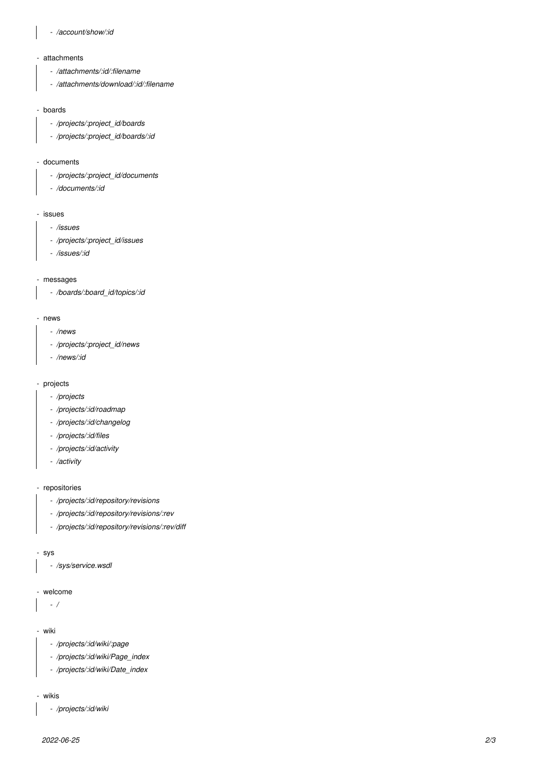# *- /account/show/:id*

#### - attachments

- */attachments/:id/:filename*
- */attachments/download/:id/:filename*

### - boards

- */projects/:project\_id/boards*
- */projects/:project\_id/boards/:id*

## - documents

- */projects/:project\_id/documents*
- */documents/:id*

#### - issues

- */issues*
- */projects/:project\_id/issues*
- */issues/:id*

# - messages

 *- /boards/:board\_id/topics/:id*

#### - news

- */news*
- */projects/:project\_id/news*
- */news/:id*

#### - projects

- */projects*
- */projects/:id/roadmap*
- */projects/:id/changelog*
- */projects/:id/files*
- */projects/:id/activity*
- */activity*

# - repositories

- */projects/:id/repository/revisions*
- */projects/:id/repository/revisions/:rev*
- */projects/:id/repository/revisions/:rev/diff*

#### - sys

 *- /sys/service.wsdl*

## - welcome

 *- /*

#### - wiki

- */projects/:id/wiki/:page*
- */projects/:id/wiki/Page\_index*
- */projects/:id/wiki/Date\_index*

#### - wikis

 *- /projects/:id/wiki*